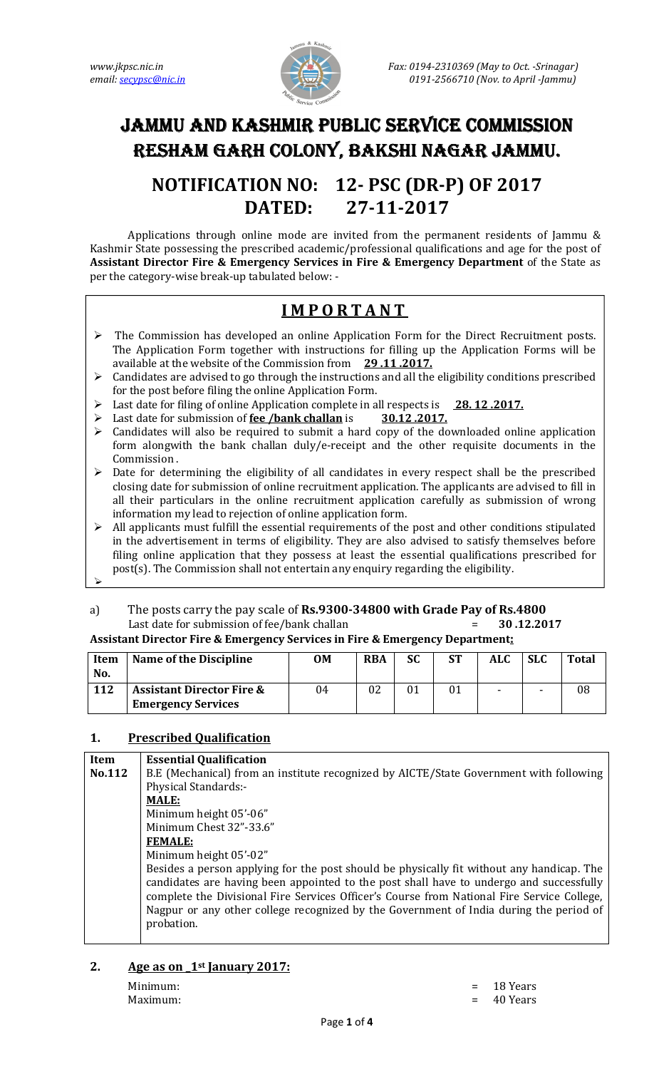

# JAMMU AND KASHMIR PUBLIC SERVICE COMMISSION RESHAM GARH COLONY, BAKSHI NAGAR JAMMU.

## **NOTIFICATION NO: 12- PSC (DR-P) OF 2017 DATED: 27-11-2017**

 Applications through online mode are invited from the permanent residents of Jammu & Kashmir State possessing the prescribed academic/professional qualifications and age for the post of **Assistant Director Fire & Emergency Services in Fire & Emergency Department** of the State as per the category-wise break-up tabulated below: -

### **I M P O R T A N T**

- $\triangleright$  The Commission has developed an online Application Form for the Direct Recruitment posts. The Application Form together with instructions for filling up the Application Forms will be available at the website of the Commission from **29 .11 .2017.**
- $\triangleright$  Candidates are advised to go through the instructions and all the eligibility conditions prescribed for the post before filing the online Application Form.
- Last date for filing of online Application complete in all respects is **28. 12 .2017.**
- Last date for submission of **fee /bank challan** is **30.12 .2017.**
- Candidates will also be required to submit a hard copy of the downloaded online application form alongwith the bank challan duly/e-receipt and the other requisite documents in the Commission .
- > Date for determining the eligibility of all candidates in every respect shall be the prescribed closing date for submission of online recruitment application. The applicants are advised to fill in all their particulars in the online recruitment application carefully as submission of wrong information my lead to rejection of online application form.
- All applicants must fulfill the essential requirements of the post and other conditions stipulated in the advertisement in terms of eligibility. They are also advised to satisfy themselves before filing online application that they possess at least the essential qualifications prescribed for post(s). The Commission shall not entertain any enquiry regarding the eligibility.  $\triangleright$
- a) The posts carry the pay scale of **Rs.9300-34800 with Grade Pay of Rs.4800**  Last date for submission of fee/bank challan = **30 .12.2017**

| <b>Assistant Director Fire &amp; Emergency Services in Fire &amp; Emergency Department:</b> |  |
|---------------------------------------------------------------------------------------------|--|
|                                                                                             |  |

| <b>Item</b><br>No. | Name of the Discipline                                            | OM | <b>RBA</b> | SС | SТ | <b>ALC</b> | <b>SLC</b> | <b>Total</b> |
|--------------------|-------------------------------------------------------------------|----|------------|----|----|------------|------------|--------------|
| 112                | <b>Assistant Director Fire &amp;</b><br><b>Emergency Services</b> | 04 |            |    |    | -          | -          | 08           |

#### **1. Prescribed Qualification**

| Item   | <b>Essential Qualification</b>                                                                                                                                                                                                                                                                                                                                               |  |  |
|--------|------------------------------------------------------------------------------------------------------------------------------------------------------------------------------------------------------------------------------------------------------------------------------------------------------------------------------------------------------------------------------|--|--|
| No.112 | B.E (Mechanical) from an institute recognized by AICTE/State Government with following                                                                                                                                                                                                                                                                                       |  |  |
|        | Physical Standards:-                                                                                                                                                                                                                                                                                                                                                         |  |  |
|        | <b>MALE:</b>                                                                                                                                                                                                                                                                                                                                                                 |  |  |
|        | Minimum height 05'-06"                                                                                                                                                                                                                                                                                                                                                       |  |  |
|        | Minimum Chest 32"-33.6"                                                                                                                                                                                                                                                                                                                                                      |  |  |
|        | <b>FEMALE:</b>                                                                                                                                                                                                                                                                                                                                                               |  |  |
|        | Minimum height 05'-02"                                                                                                                                                                                                                                                                                                                                                       |  |  |
|        | Besides a person applying for the post should be physically fit without any handicap. The<br>candidates are having been appointed to the post shall have to undergo and successfully<br>complete the Divisional Fire Services Officer's Course from National Fire Service College,<br>Nagpur or any other college recognized by the Government of India during the period of |  |  |
|        | probation.                                                                                                                                                                                                                                                                                                                                                                   |  |  |

### **2. Age as on \_1st January 2017:**

Maximum:  $= 40$  Years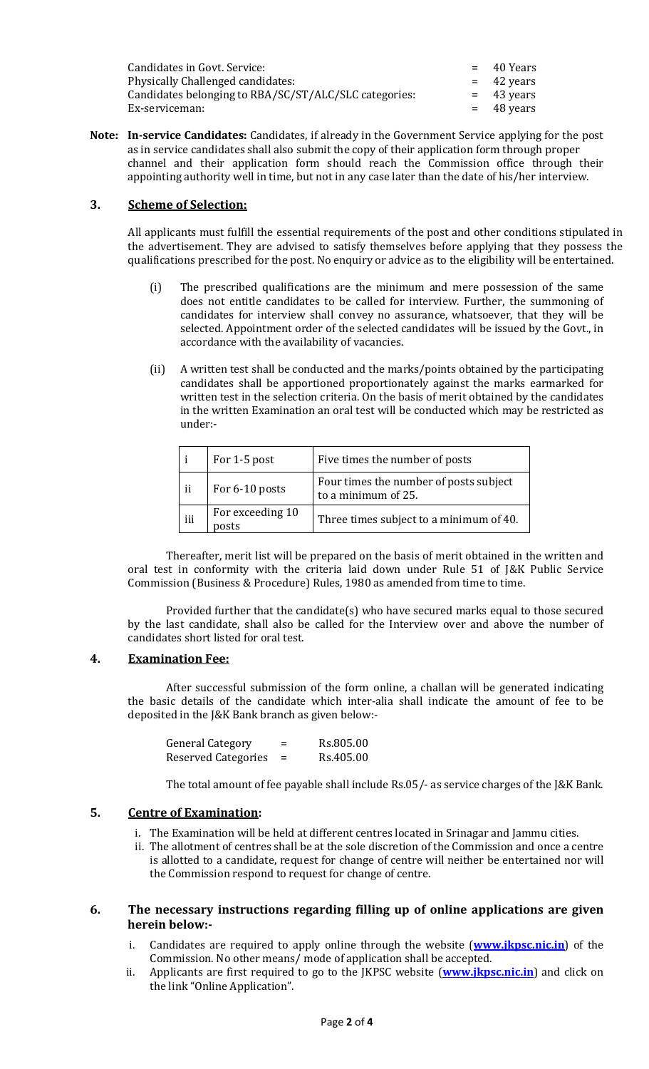| Candidates in Govt. Service:                          | $=$ 40 Years |
|-------------------------------------------------------|--------------|
| Physically Challenged candidates:                     | $=$ 42 years |
| Candidates belonging to RBA/SC/ST/ALC/SLC categories: | $=$ 43 years |
| Ex-serviceman:                                        | $=$ 48 years |

**Note: In-service Candidates:** Candidates, if already in the Government Service applying for the post as in service candidates shall also submit the copy of their application form through proper channel and their application form should reach the Commission office through their appointing authority well in time, but not in any case later than the date of his/her interview.

#### **3. Scheme of Selection:**

All applicants must fulfill the essential requirements of the post and other conditions stipulated in the advertisement. They are advised to satisfy themselves before applying that they possess the qualifications prescribed for the post. No enquiry or advice as to the eligibility will be entertained.

- (i) The prescribed qualifications are the minimum and mere possession of the same does not entitle candidates to be called for interview. Further, the summoning of candidates for interview shall convey no assurance, whatsoever, that they will be selected. Appointment order of the selected candidates will be issued by the Govt., in accordance with the availability of vacancies.
- (ii) A written test shall be conducted and the marks/points obtained by the participating candidates shall be apportioned proportionately against the marks earmarked for written test in the selection criteria. On the basis of merit obtained by the candidates in the written Examination an oral test will be conducted which may be restricted as under:-

|     | For 1-5 post              | Five times the number of posts                                |  |
|-----|---------------------------|---------------------------------------------------------------|--|
| ii  | For 6-10 posts            | Four times the number of posts subject<br>to a minimum of 25. |  |
| iii | For exceeding 10<br>posts | Three times subject to a minimum of 40.                       |  |

Thereafter, merit list will be prepared on the basis of merit obtained in the written and oral test in conformity with the criteria laid down under Rule 51 of J&K Public Service Commission (Business & Procedure) Rules, 1980 as amended from time to time.

Provided further that the candidate(s) who have secured marks equal to those secured by the last candidate, shall also be called for the Interview over and above the number of candidates short listed for oral test.

#### **4. Examination Fee:**

After successful submission of the form online, a challan will be generated indicating the basic details of the candidate which inter-alia shall indicate the amount of fee to be deposited in the J&K Bank branch as given below:-

| <b>General Category</b>    | $\overline{\phantom{0}}$<br>= | Rs.805.00 |
|----------------------------|-------------------------------|-----------|
| <b>Reserved Categories</b> |                               | Rs.405.00 |

The total amount of fee payable shall include Rs.05/- as service charges of the J&K Bank.

#### **5. Centre of Examination:**

- i. The Examination will be held at different centres located in Srinagar and Jammu cities.
- ii. The allotment of centres shall be at the sole discretion of the Commission and once a centre is allotted to a candidate, request for change of centre will neither be entertained nor will the Commission respond to request for change of centre.

#### **6. The necessary instructions regarding filling up of online applications are given herein below:-**

- i. Candidates are required to apply online through the website (**www.jkpsc.nic.in**) of the Commission. No other means/ mode of application shall be accepted.
- ii. Applicants are first required to go to the JKPSC website (**www.jkpsc.nic.in**) and click on the link "Online Application".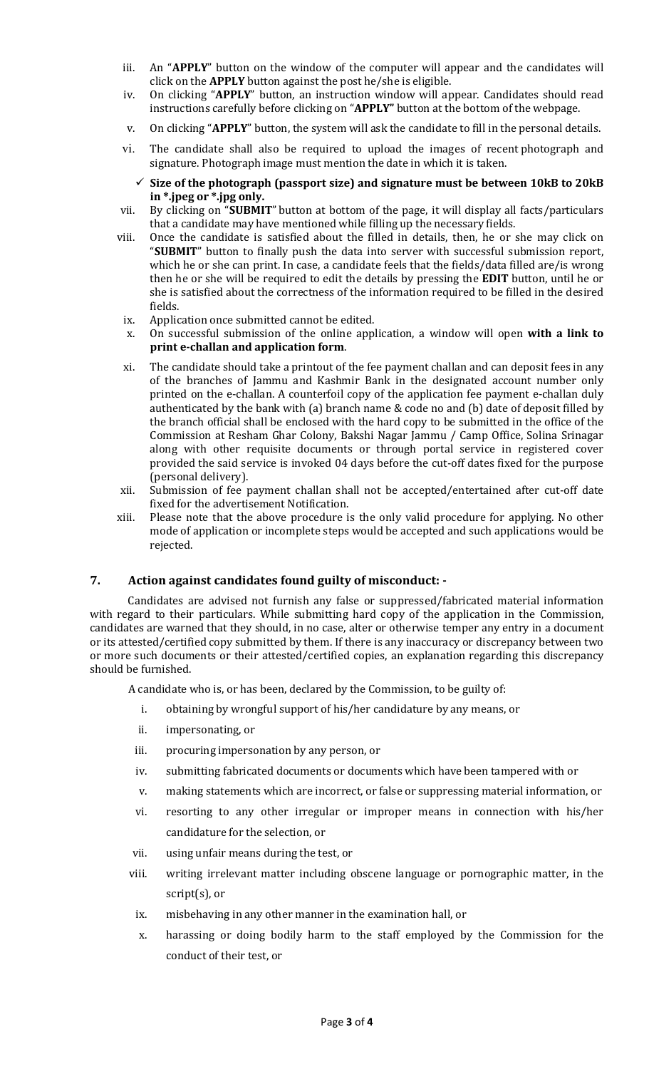- iii. An "**APPLY**" button on the window of the computer will appear and the candidates will click on the **APPLY** button against the post he/she is eligible.
- iv. On clicking "**APPLY**" button, an instruction window will appear. Candidates should read instructions carefully before clicking on "**APPLY"** button at the bottom of the webpage.
- v. On clicking "**APPLY**" button, the system will ask the candidate to fill in the personal details.
- vi. The candidate shall also be required to upload the images of recent photograph and signature. Photograph image must mention the date in which it is taken.
	- **Size of the photograph (passport size) and signature must be between 10kB to 20kB in \*.jpeg or \*.jpg only.**
- vii. By clicking on "**SUBMIT**" button at bottom of the page, it will display all facts/particulars that a candidate may have mentioned while filling up the necessary fields.
- viii. Once the candidate is satisfied about the filled in details, then, he or she may click on "**SUBMIT**" button to finally push the data into server with successful submission report, which he or she can print. In case, a candidate feels that the fields/data filled are/is wrong then he or she will be required to edit the details by pressing the **EDIT** button, until he or she is satisfied about the correctness of the information required to be filled in the desired fields.
- ix. Application once submitted cannot be edited.
- x. On successful submission of the online application, a window will open **with a link to print e-challan and application form**.
- xi. The candidate should take a printout of the fee payment challan and can deposit fees in any of the branches of Jammu and Kashmir Bank in the designated account number only printed on the e-challan. A counterfoil copy of the application fee payment e-challan duly authenticated by the bank with (a) branch name & code no and (b) date of deposit filled by the branch official shall be enclosed with the hard copy to be submitted in the office of the Commission at Resham Ghar Colony, Bakshi Nagar Jammu / Camp Office, Solina Srinagar along with other requisite documents or through portal service in registered cover provided the said service is invoked 04 days before the cut-off dates fixed for the purpose (personal delivery).
- xii. Submission of fee payment challan shall not be accepted/entertained after cut-off date fixed for the advertisement Notification.
- xiii. Please note that the above procedure is the only valid procedure for applying. No other mode of application or incomplete steps would be accepted and such applications would be rejected.

#### **7. Action against candidates found guilty of misconduct: -**

 Candidates are advised not furnish any false or suppressed/fabricated material information with regard to their particulars. While submitting hard copy of the application in the Commission, candidates are warned that they should, in no case, alter or otherwise temper any entry in a document or its attested/certified copy submitted by them. If there is any inaccuracy or discrepancy between two or more such documents or their attested/certified copies, an explanation regarding this discrepancy should be furnished.

A candidate who is, or has been, declared by the Commission, to be guilty of:

- i. obtaining by wrongful support of his/her candidature by any means, or
- ii. impersonating, or
- iii. procuring impersonation by any person, or
- iv. submitting fabricated documents or documents which have been tampered with or
- v. making statements which are incorrect, or false or suppressing material information, or
- vi. resorting to any other irregular or improper means in connection with his/her candidature for the selection, or
- vii. using unfair means during the test, or
- viii. writing irrelevant matter including obscene language or pornographic matter, in the script(s), or
- ix. misbehaving in any other manner in the examination hall, or
- x. harassing or doing bodily harm to the staff employed by the Commission for the conduct of their test, or